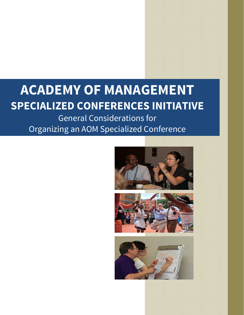# **ACADEMY OF MANAGEMENT SPECIALIZED CONFERENCES INITIATIVE**

General Considerations for Organizing an AOM Specialized Conference





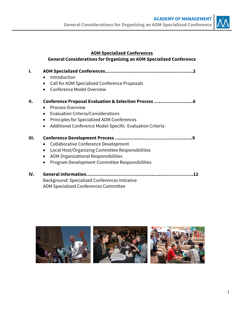

## **AOM Specialized Conferences**

## **General Considerations for Organizing an AOM Specialized Conference**

- **I. AOM Specialized Conferences……………….…………………..………..….2**
	- Introduction
	- Call for AOM Specialized Conference Proposals
	- Conference Model Overview

## **II. Conference Proposal Evaluation & Selection Process …………………….6**

- Process Overview
- Evaluation Criteria/Considerations
- Principles for Specialized AOM Conferences
- Additional Conference Model-Specific Evaluation Criteria

## **III. Conference Development Process …………………………………………..9**

- Collaborative Conference Development
- Local Host/Organizing Committee Responsibilities
- AOM Organizational Responsibilities
- Program Development Committee Responsibilities

## **IV. General Information…………………………….…………..…………………12**  Background: Specialized Conferences Initiative AOM Specialized Conferences Committee

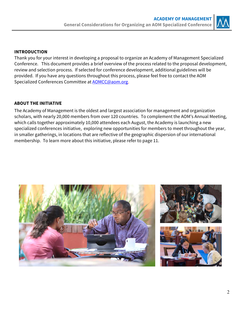

## **INTRODUCTION**

Thank you for your interest in developing a proposal to organize an Academy of Management Specialized Conference. This document provides a brief overview of the process related to the proposal development, review and selection process. If selected for conference development, additional guidelines will be provided. If you have any questions throughout this process, please feel free to contact the AOM Specialized Conferences Committee at **AOMCC@aom.org**.

## **ABOUT THE INITIATIVE**

The Academy of Management is the oldest and largest association for management and organization scholars, with nearly 20,000 members from over 120 countries. To complement the AOM's Annual Meeting, which calls together approximately 10,000 attendees each August, the Academy is launching a new specialized conferences initiative, exploring new opportunities for members to meet throughout the year, in smaller gatherings, in locations that are reflective of the geographic dispersion of our international membership. To learn more about this initiative, please refer to page 11.

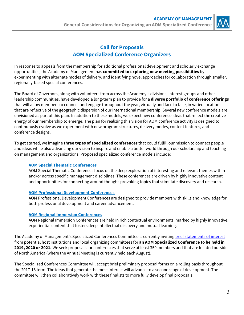

## **Call for Proposals AOM Specialized Conference Organizers**

In response to appeals from the membership for additional professional development and scholarly exchange opportunities, the Academy of Management has **committed to exploring new meeting possibilities** by experimenting with alternate modes of delivery, and identifying novel approaches for collaboration through smaller, regionally-based special conferences.

The Board of Governors, along with volunteers from across the Academy's divisions, interest groups and other leadership communities, have developed a long-term plan to provide for a **diverse portfolio of conference offerings** that will allow members to connect and engage throughout the year, virtually and face to face, in varied locations that are reflective of the geographic dispersion of our international membership. Several new conference models are envisioned as part of this plan. In addition to these models, we expect new conference ideas that reflect the creative energy of our membership to emerge. The plan for realizing this vision for AOM conference activity is designed to continuously evolve as we experiment with new program structures, delivery modes, content features, and conference designs.

To get started, we imagine **three types of specialized conferences** that could fulfill our mission to connect people and ideas while also advancing our vision to inspire and enable a better world through our scholarship and teaching on management and organizations. Proposed specialized conference models include:

## **AOM Special Thematic Conferences**

AOM Special Thematic Conferences focus on the deep exploration of interesting and relevant themes within and/or across specific management disciplines. These conferences are driven by highly innovative content and opportunities for connecting around thought-provoking topics that stimulate discovery and research.

## **AOM Professional Development Conferences**

AOM Professional Development Conferences are designed to provide members with skills and knowledge for both professional development and career advancement.

## **AOM Regional Immersion Conferences**

AOM Regional Immersion Conferences are held in rich contextual environments, marked by highly innovative, experiential content that fosters deep intellectual discovery and mutual learning.

The Academy of Management's Specialized Conferences Committee is currently inviting [brief statements of interest](https://form.jotform.com/73175828246161) from potential host institutions and local organizing committees for **an AOM Specialized Conference to be held in 2019, 2020 or 2021.** We seek proposals for conferences that serve at least 350 members and that are located outside of North America (where the Annual Meeting is currently held each August).

The Specialized Conferences Committee will accept brief preliminary proposal forms on a rolling basis throughout the 2017-18 term. The ideas that generate the most interest will advance to a second stage of development. The committee will then collaboratively work with these finalists to more fully develop final proposals.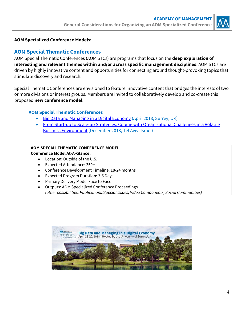

## **AOM Specialized Conference Models:**

## **AOM Special Thematic Conferences**

AOM Special Thematic Conferences (AOM STCs) are programs that focus on the **deep exploration of interesting and relevant themes within and/or across specific management disciplines**. AOM STCs are driven by highly innovative content and opportunities for connecting around thought-provoking topics that stimulate discovery and research.

Special Thematic Conferences are envisioned to feature innovative content that bridges the interests of two or more divisions or interest groups. Members are invited to collaboratively develop and co-create this proposed **new conference model**.

## **AOM Special Thematic Conferences**

- Big Data and Managing in a Digital Economy (April 2018, Surrey, UK)
- From Start-up to Scale-up Strategies: Coping with Organizational Challenges in a Volatile Business Environment (December 2018, Tel Aviv, Israel)

#### **AOM SPECIAL THEMATIC CONFERENCE MODEL Conference Model At-A-Glance:**

- Location: Outside of the U.S.
- Expected Attendance: 350+
- Conference Development Timeline: 18-24 months
- Expected Program Duration: 3-5 Days
- Primary Delivery Mode: Face to Face
- Outputs: AOM Specialized Conference Proceedings (other possibilities: Publications/Special Issues, Video Components, Social Communities)

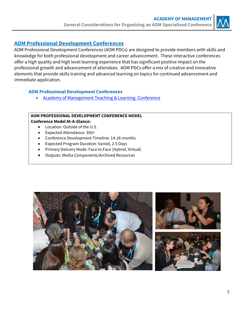

## **AOM Professional Development Conferences**

AOM Professional Development Conferences (AOM PDCs) are designed to provide members with skills and knowledge for both professional development and career advancement. These interactive conferences offer a high quality and high level learning experience that has significant positive impact on the professional growth and advancement of attendees. AOM PDCs offer a mix of creative and innovative elements that provide skills training and advanced learning on topics for continued advancement and immediate application.

## **AOM Professional Development Conferences**

• Academy of Management Teaching & Learning Conference

# **AOM PROFESSIONAL DEVELOPMENT CONFERENCE MODEL**

## **Conference Model At-A-Glance:**

- Location: Outside of the U.S.
- Expected Attendance: 350+
- Conference Development Timeline: 14-18 months
- Expected Program Duration: Varied, 2-5 Days
- Primary Delivery Mode: Face to Face (Hybrid, Virtual)
- Outputs: Media Components/Archived Resources

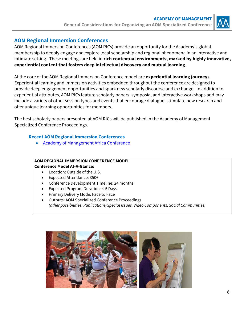

## **AOM Regional Immersion Conferences**

AOM Regional Immersion Conferences (AOM RICs) provide an opportunity for the Academy's global membership to deeply engage and explore local scholarship and regional phenomena in an interactive and intimate setting. These meetings are held in **rich contextual environments, marked by highly innovative, experiential content that fosters deep intellectual discovery and mutual learning**.

At the core of the AOM Regional Immersion Conference model are **experiential learning journeys**. Experiential learning and immersion activities embedded throughout the conference are designed to provide deep engagement opportunities and spark new scholarly discourse and exchange. In addition to experiential attributes, AOM RICs feature scholarly papers, symposia, and interactive workshops and may include a variety of other session types and events that encourage dialogue, stimulate new research and offer unique learning opportunities for members.

The best scholarly papers presented at AOM RICs will be published in the Academy of Management Specialized Conference Proceedings.

## **Recent AOM Regional Immersion Conferences**

• Academy of Management Africa Conference

#### **AOM REGIONAL IMMERSION CONFERENCE MODEL Conference Model At-A-Glance:**

- Location: Outside of the U.S.
- Expected Attendance: 350+
- Conference Development Timeline: 24 months
- Expected Program Duration: 4-5 Days
- Primary Delivery Mode: Face to Face
- Outputs: AOM Specialized Conference Proceedings (other possibilities: Publications/Special Issues, Video Components, Social Communities)

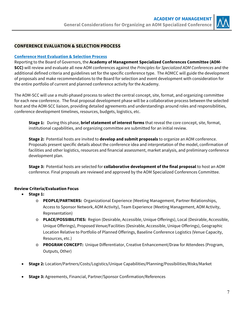

## **CONFERENCE EVALUATION & SELECTION PROCESS**

#### **Conference Host Evaluation & Selection Process**

Reporting to the Board of Governors, the **Academy of Management Specialized Conferences Committee (AOM-SCC)** will review and evaluate all new AOM conferences against the Principles for Specialized AOM Conferences and the additional defined criteria and guidelines set for the specific conference type. The AOMCC will guide the development of proposals and make recommendations to the Board for selection and event development with consideration for the entire portfolio of current and planned conference activity for the Academy.

The AOM-SCC will use a multi-phased process to select the central concept, site, format, and organizing committee for each new conference. The final proposal development phase will be a collaborative process between the selected host and the AOM-SCC liaison, providing detailed agreements and understandings around roles and responsibilities, conference development timelines, resources, budgets, logistics, etc.

**Stage 1:** During this phase, **brief statement of interest forms** that reveal the core concept, site, format, [institutional capabilities, and organizing committee are submitted for an initial review.](https://form.jotform.com/73175828246161) 

**Stage 2:** Potential hosts are invited to **develop and submit proposals** to organize an AOM conference. Proposals present specific details about the conference idea and interpretation of the model, confirmation of facilities and other logistics, resources and financial assessment, market analysis, and preliminary conference development plan.

**Stage 3:** Potential hosts are selected for **collaborative development of the final proposal** to host an AOM conference. Final proposals are reviewed and approved by the AOM Specialized Conferences Committee.

## **Review Criteria/Evaluation Focus**

- **Stage 1:** 
	- o **PEOPLE/PARTNERS:** Organizational Experience (Meeting Management, Partner Relationships, Access to Sponsor Network, AOM Activity), Team Experience (Meeting Management, AOM Activity, Representation)
	- o **PLACE/POSSIBILITIES:** Region (Desirable, Accessible, Unique Offerings), Local (Desirable, Accessible, Unique Offerings), Proposed Venue/Facilities (Desirable, Accessible, Unique Offerings), Geographic Location Relative to Portfolio of Planned Offerings, Baseline Conference Logistics (Venue Capacity, Resources, etc.)
	- o **PROGRAM CONCEPT:** Unique Differentiator, Creative Enhancement/Draw for Attendees (Program, Outputs, Other)
- **Stage 2:** Location/Partners/Costs/Logistics/Unique Capabilities/Planning/Possibilities/Risks/Market
- **Stage 3:** Agreements, Financial, Partner/Sponsor Confirmation/References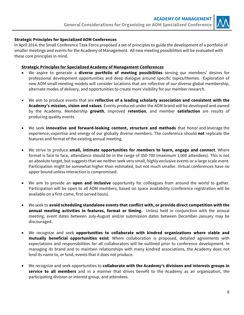

#### **Strategic Principles for Specialized AOM Conferences**

In April 2014, the Small Conference Task Force proposed a set of principles to guide the development of a portfolio of smaller meetings and events for the Academy of Management. All new meeting possibilities will be evaluated with these core principles in mind.

#### **Strategic Principles for Specialized Academy of Management Conferences**

- We aspire to generate a **diverse portfolio of meeting possibilities** serving our members' desires for professional development opportunities and deep dialogue around specific topics/themes. Exploration of new AOM small meeting models will consider locations that are reflective of our diverse global membership, alternate modes of delivery, and opportunities to create more visibility for our member research.
- We aim to produce events that are **reflective of a leading scholarly association and consistent with the Academy's mission, vision and values**. Events produced under the AOM brand will be developed and owned by the Academy. Membership **growth**, improved **retention**, and member **satisfaction** are results of producing quality events.
- We seek **innovative and forward-looking content, structure and methods** that honor and leverage the experience, expertise and energy of our globally diverse members. The conference should **not** replicate the features and format of the existing annual meeting.
- We strive to produce **small, intimate opportunities for members to learn, engage and connect**. Where format is face to face, attendance should be in the range of 350-700 (maximum 1,000 attendees). This is not an absolute target, but suggests that we neither seek very small, highly exclusive events or a large scale event. Participation might be somewhat higher than estimated, but not much smaller. Virtual conferences have no upper bound unless interaction is compromised.
- We aim to provide an **open and inclusive** opportunity for colleagues from around the world to gather. Participation will be open to all AOM members, based on space availability (conference registration will be available on a first-come, first-served basis).
- We seek to **avoid scheduling standalone events that conflict with, or provide direct competition with the annual meeting activities in features, format or timing.** Unless held in conjunction with the annual meeting, event dates between July-August and/or submission dates between December-January may be discouraged.
- We recognize and seek **opportunities to collaborate with kindred organizations where viable and mutually beneficial opportunities exist**. Where collaboration is proposed, detailed agreements with expectations and responsibilities for all collaborators will be outlined prior to conference development. In managing its brand and to maintain relationships with many kindred associations, the Academy does not lend its name to, or fund, events that it does not produce.
- We recognize and seek opportunities to **collaborate with the Academy's divisions and interests groups in service to all members** and in a manner that drives benefit to the Academy as an organization, the participating division or interest group, and attendees.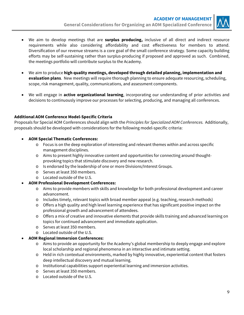

- We aim to develop meetings that are **surplus producing,** inclusive of all direct and indirect resource requirements while also considering affordability and cost effectiveness for members to attend. Diversification of our revenue streams is a core goal of the small conference strategy. Some capacity building efforts may be self-sustaining rather than surplus-producing if proposed and approved as such. Combined, the meetings portfolio will contribute surplus to the Academy.
- We aim to produce **high quality meetings, developed through detailed planning, implementation and evaluation plans**. New meetings will require thorough planning to ensure adequate resourcing, scheduling, scope, risk management, quality, communications, and assessment components.
- We will engage in **active organizational learning**, incorporating our understanding of prior activities and decisions to continuously improve our processes for selecting, producing, and managing all conferences.

## **Additional AOM Conference Model-Specific Criteria**

Proposals for Special AOM Conferences should align with the Principles for Specialized AOM Conferences. Additionally, proposals should be developed with considerations for the following model-specific criteria:

- **AOM Special Thematic Conferences:** 
	- o Focus is on the deep exploration of interesting and relevant themes within and across specific management disciplines.
	- o Aims to present highly innovative content and opportunities for connecting around thoughtprovoking topics that stimulate discovery and new research.
	- o Is endorsed by the leadership of one or more Divisions/Interest Groups.
	- o Serves at least 350 members.
	- o Located outside of the U.S.

#### **AOM Professional Development Conferences:**

- o Aims to provide members with skills and knowledge for both professional development and career advancement.
- o Includes timely, relevant topics with broad member appeal (e.g. teaching, research methods)
- o Offers a high quality and high level learning experience that has significant positive impact on the professional growth and advancement of attendees.
- o Offers a mix of creative and innovative elements that provide skills training and advanced learning on topics for continued advancement and immediate application.
- o Serves at least 350 members.
- o Located outside of the U.S.

## **AOM Regional Immersion Conferences:**

- o Aims to provide an opportunity for the Academy's global membership to deeply engage and explore local scholarship and regional phenomena in an interactive and intimate setting.
- o Held in rich contextual environments, marked by highly innovative, experiential content that fosters deep intellectual discovery and mutual learning.
- $\circ$  Institutional capabilities support experiential learning and immersion activities.
- o Serves at least 350 members.
- o Located outside of the U.S.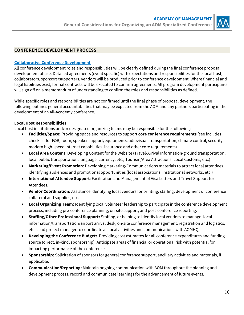

### **CONFERENCE DEVELOPMENT PROCESS**

#### **Collaborative Conference Development**

All conference development roles and responsibilities will be clearly defined during the final conference proposal development phase. Detailed agreements (event specific) with expectations and responsibilities for the local host, collaborators, sponsors/supporters, vendors will be produced prior to conference development. Where financial and legal liabilities exist, formal contracts will be executed to confirm agreements. All program development participants will sign off on a memorandum of understanding to confirm the roles and responsibilities as defined.

While specific roles and responsibilities are not confirmed until the final phase of proposal development, the following outlines general accountabilities that may be expected from the AOM and any partners participating in the development of an All-Academy conference.

#### **Local Host Responsibilities**

Local host institutions and/or designated organizing teams may be responsible for the following:

- **Facilities/Space:** Providing space and resources to support **core conference requirements** (see facilities checklist for F&B, room, speaker support/equipment/audiovisual, transportation, climate control, security, modern high-speed internet capabilities, insurance and other core requirements).
- **Local Area Content**: Developing Content for the Website (Travel/Arrival Information-ground transportation, local public transportation, language, currency, etc., Tourism/Area Attractions, Local Customs, etc.)
- **Marketing/Event Promotion**: Developing Marketing/Communications materials to attract local attendees, identifying audiences and promotional opportunities (local associations, institutional networks, etc.)
- **International Attendee Support**: Facilitation and Management of Visa Letters and Travel Support for Attendees.
- **Vendor Coordination:** Assistance identifying local vendors for printing, staffing, development of conference collateral and supplies, etc.
- **Local Organizing Team:** Identifying local volunteer leadership to participate in the conference development process, including pre-conference planning, on-site support, and post-conference reporting.
- **Staffing/Other Professional Support:** Staffing, or helping to identify local vendors to manage, local information/transportation/airport arrival desk, on-site conference management, registration and logistics, etc. Lead project manager to coordinate all local activities and communications with AOMHQ.
- **Developing the Conference Budget:** Providing cost estimates for all conference expenditures and funding source (direct, in-kind, sponsorship). Anticipate areas of financial or operational risk with potential for impacting performance of the conference.
- **Sponsorship:** Solicitation of sponsors for general conference support, ancillary activities and materials, if applicable.
- **Communication/Reporting:** Maintain ongoing communication with AOM throughout the planning and development process, record and communicate learnings for the advancement of future events.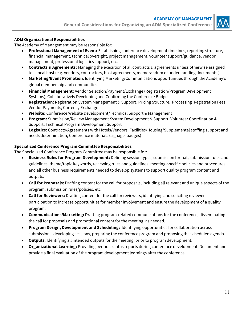

#### **AOM Organizational Responsibilities**

The Academy of Management may be responsible for:

- **Professional Management of Event:** Establishing conference development timelines, reporting structure, financial management, technical oversight, project management, volunteer support/guidance, vendor management, professional logistics support, etc.
- **Contracts & Agreements:** Managing the execution of all contracts & agreements unless otherwise assigned to a local host (e.g. vendors, contractors, host agreements, memorandum of understanding documents.).
- **Marketing/Event Promotion**: Identifying Marketing/Communications opportunities through the Academy's global membership and communities.
- **Financial Management:** Vendor Selection/Payment/Exchange (Registration/Program Development Systems), Collaboratively Developing and Confirming the Conference Budget
- **Registration:** Registration System Management & Support, Pricing Structure, Processing Registration Fees, Vendor Payments, Currency Exchange
- **Website:** Conference Website Development/Technical Support & Management
- **Program:** Submission/Review Management System Development & Support, Volunteer Coordination & Support, Technical Program Development Support
- **Logistics:** Contracts/Agreements with Hotels/Vendors, Facilities/Housing/Supplemental staffing support and needs determination, Conference materials (signage, badges)

#### **Specialized Conference Program Committee Responsibilities**

The Specialized Conference Program Committee may be responsible for:

- **Business Rules for Program Development:** Defining session types, submission format, submission rules and guidelines, theme/topic keywords, reviewing rules and guidelines, meeting-specific policies and procedures, and all other business requirements needed to develop systems to support quality program content and outputs.
- **Call for Proposals:** Drafting content for the call for proposals, including all relevant and unique aspects of the program, submission rules/policies, etc.
- **Call for Reviewers:** Drafting content for the call for reviewers, identifying and soliciting reviewer participation to increase opportunities for member involvement and ensure the development of a quality program.
- **Communications/Marketing:** Drafting program-related communications for the conference, disseminating the call for proposals and promotional content for the meeting, as needed.
- **Program Design, Development and Scheduling:** Identifying opportunities for collaboration across submissions, developing sessions, preparing the conference program and proposing the scheduled agenda.
- **Outputs:** Identifying all intended outputs for the meeting, prior to program development.
- **Organizational Learning:** Providing periodic status reports during conference development. Document and provide a final evaluation of the program development learnings after the conference.